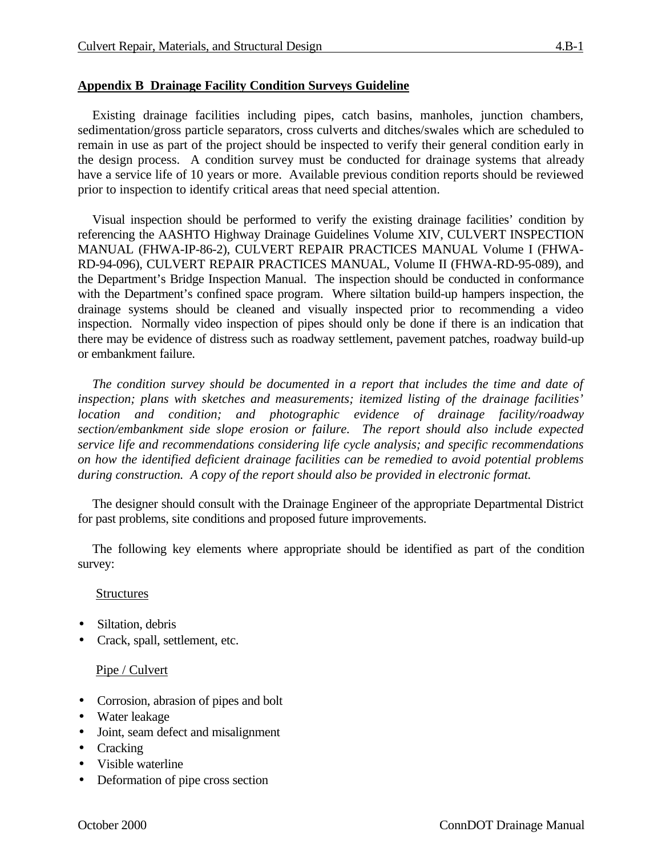### **Appendix B Drainage Facility Condition Surveys Guideline**

Existing drainage facilities including pipes, catch basins, manholes, junction chambers, sedimentation/gross particle separators, cross culverts and ditches/swales which are scheduled to remain in use as part of the project should be inspected to verify their general condition early in the design process. A condition survey must be conducted for drainage systems that already have a service life of 10 years or more. Available previous condition reports should be reviewed prior to inspection to identify critical areas that need special attention.

Visual inspection should be performed to verify the existing drainage facilities' condition by referencing the AASHTO Highway Drainage Guidelines Volume XIV, CULVERT INSPECTION MANUAL (FHWA-IP-86-2), CULVERT REPAIR PRACTICES MANUAL Volume I (FHWA-RD-94-096), CULVERT REPAIR PRACTICES MANUAL, Volume II (FHWA-RD-95-089), and the Department's Bridge Inspection Manual. The inspection should be conducted in conformance with the Department's confined space program. Where siltation build-up hampers inspection, the drainage systems should be cleaned and visually inspected prior to recommending a video inspection. Normally video inspection of pipes should only be done if there is an indication that there may be evidence of distress such as roadway settlement, pavement patches, roadway build-up or embankment failure.

*The condition survey should be documented in a report that includes the time and date of inspection; plans with sketches and measurements; itemized listing of the drainage facilities' location and condition; and photographic evidence of drainage facility/roadway section/embankment side slope erosion or failure. The report should also include expected service life and recommendations considering life cycle analysis; and specific recommendations on how the identified deficient drainage facilities can be remedied to avoid potential problems during construction. A copy of the report should also be provided in electronic format.*

The designer should consult with the Drainage Engineer of the appropriate Departmental District for past problems, site conditions and proposed future improvements.

The following key elements where appropriate should be identified as part of the condition survey:

#### **Structures**

- Siltation, debris
- Crack, spall, settlement, etc.

### Pipe / Culvert

- Corrosion, abrasion of pipes and bolt
- Water leakage
- Joint, seam defect and misalignment
- Cracking
- Visible waterline
- Deformation of pipe cross section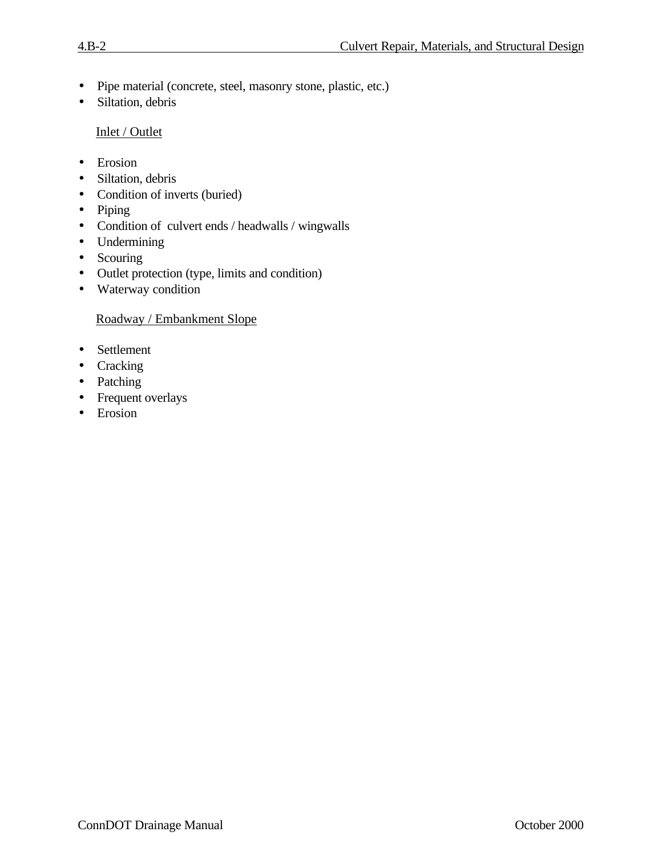- Pipe material (concrete, steel, masonry stone, plastic, etc.)
- Siltation, debris

## Inlet / Outlet

- Erosion
- Siltation, debris
- Condition of inverts (buried)
- Piping
- Condition of culvert ends / headwalls / wingwalls
- Undermining
- Scouring
- Outlet protection (type, limits and condition)
- Waterway condition

## Roadway / Embankment Slope

- Settlement
- Cracking
- Patching
- Frequent overlays
- Erosion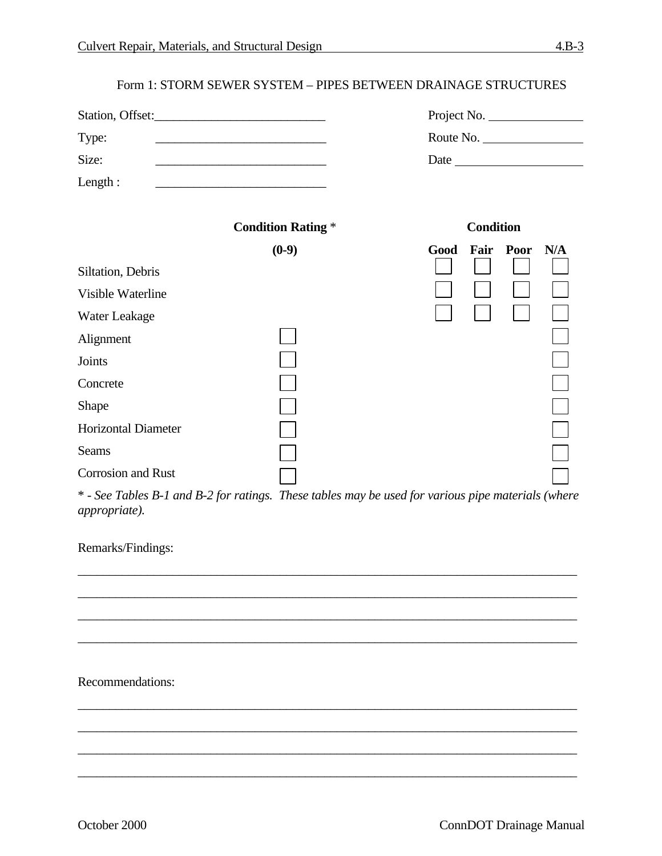### Form 1: STORM SEWER SYSTEM – PIPES BETWEEN DRAINAGE STRUCTURES

| Station, Offset:           |                                                                                                                      | Project No.              |
|----------------------------|----------------------------------------------------------------------------------------------------------------------|--------------------------|
| Type:                      | <u> 1989 - Johann Barbara, martin amerikan basar dan berasal dalam basa dalam basar dalam basar dalam basar dala</u> | Route No.                |
| Size:                      | <u> 1989 - Johann Barbara, martxa alemaniar a</u>                                                                    | Date                     |
| Length:                    |                                                                                                                      |                          |
|                            | <b>Condition Rating *</b>                                                                                            | <b>Condition</b>         |
|                            | $(0-9)$                                                                                                              | Fair Poor<br>N/A<br>Good |
| Siltation, Debris          |                                                                                                                      |                          |
| Visible Waterline          |                                                                                                                      |                          |
| Water Leakage              |                                                                                                                      |                          |
| Alignment                  |                                                                                                                      |                          |
| Joints                     |                                                                                                                      |                          |
| Concrete                   |                                                                                                                      |                          |
| Shape                      |                                                                                                                      |                          |
| <b>Horizontal Diameter</b> |                                                                                                                      |                          |
| Seams                      |                                                                                                                      |                          |
| Corrosion and Rust         |                                                                                                                      |                          |

\* - *See Tables B-1 and B-2 for ratings. These tables may be used for various pipe materials (where appropriate).*

\_\_\_\_\_\_\_\_\_\_\_\_\_\_\_\_\_\_\_\_\_\_\_\_\_\_\_\_\_\_\_\_\_\_\_\_\_\_\_\_\_\_\_\_\_\_\_\_\_\_\_\_\_\_\_\_\_\_\_\_\_\_\_\_\_\_\_\_\_\_\_\_\_\_\_\_\_\_\_

\_\_\_\_\_\_\_\_\_\_\_\_\_\_\_\_\_\_\_\_\_\_\_\_\_\_\_\_\_\_\_\_\_\_\_\_\_\_\_\_\_\_\_\_\_\_\_\_\_\_\_\_\_\_\_\_\_\_\_\_\_\_\_\_\_\_\_\_\_\_\_\_\_\_\_\_\_\_\_

\_\_\_\_\_\_\_\_\_\_\_\_\_\_\_\_\_\_\_\_\_\_\_\_\_\_\_\_\_\_\_\_\_\_\_\_\_\_\_\_\_\_\_\_\_\_\_\_\_\_\_\_\_\_\_\_\_\_\_\_\_\_\_\_\_\_\_\_\_\_\_\_\_\_\_\_\_\_\_

\_\_\_\_\_\_\_\_\_\_\_\_\_\_\_\_\_\_\_\_\_\_\_\_\_\_\_\_\_\_\_\_\_\_\_\_\_\_\_\_\_\_\_\_\_\_\_\_\_\_\_\_\_\_\_\_\_\_\_\_\_\_\_\_\_\_\_\_\_\_\_\_\_\_\_\_\_\_\_

\_\_\_\_\_\_\_\_\_\_\_\_\_\_\_\_\_\_\_\_\_\_\_\_\_\_\_\_\_\_\_\_\_\_\_\_\_\_\_\_\_\_\_\_\_\_\_\_\_\_\_\_\_\_\_\_\_\_\_\_\_\_\_\_\_\_\_\_\_\_\_\_\_\_\_\_\_\_\_

\_\_\_\_\_\_\_\_\_\_\_\_\_\_\_\_\_\_\_\_\_\_\_\_\_\_\_\_\_\_\_\_\_\_\_\_\_\_\_\_\_\_\_\_\_\_\_\_\_\_\_\_\_\_\_\_\_\_\_\_\_\_\_\_\_\_\_\_\_\_\_\_\_\_\_\_\_\_\_

\_\_\_\_\_\_\_\_\_\_\_\_\_\_\_\_\_\_\_\_\_\_\_\_\_\_\_\_\_\_\_\_\_\_\_\_\_\_\_\_\_\_\_\_\_\_\_\_\_\_\_\_\_\_\_\_\_\_\_\_\_\_\_\_\_\_\_\_\_\_\_\_\_\_\_\_\_\_\_

\_\_\_\_\_\_\_\_\_\_\_\_\_\_\_\_\_\_\_\_\_\_\_\_\_\_\_\_\_\_\_\_\_\_\_\_\_\_\_\_\_\_\_\_\_\_\_\_\_\_\_\_\_\_\_\_\_\_\_\_\_\_\_\_\_\_\_\_\_\_\_\_\_\_\_\_\_\_\_

## Remarks/Findings:

Recommendations: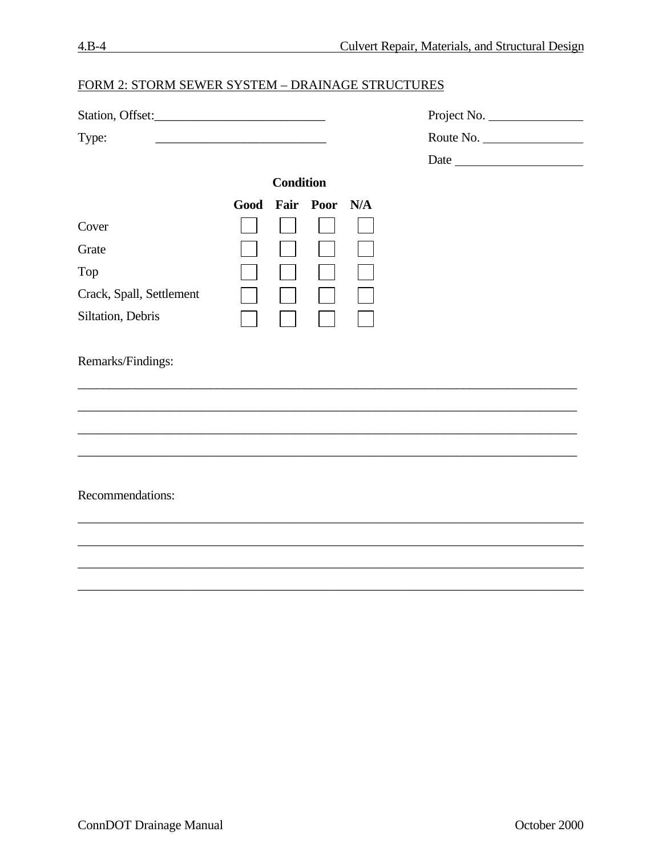| Station, Offset:         |                  |                |     | Project No. |  |
|--------------------------|------------------|----------------|-----|-------------|--|
| Type:                    |                  |                |     | Route No.   |  |
|                          |                  |                |     |             |  |
|                          | <b>Condition</b> |                |     |             |  |
|                          |                  | Good Fair Poor | N/A |             |  |
| Cover                    |                  |                |     |             |  |
| Grate                    |                  |                |     |             |  |
| Top                      |                  |                |     |             |  |
| Crack, Spall, Settlement |                  |                |     |             |  |
| Siltation, Debris        |                  |                |     |             |  |
| Remarks/Findings:        |                  |                |     |             |  |
|                          |                  |                |     |             |  |
|                          |                  |                |     |             |  |
| Recommendations:         |                  |                |     |             |  |
|                          |                  |                |     |             |  |
|                          |                  |                |     |             |  |
|                          |                  |                |     |             |  |

# FORM  $2:$  STORM SEWER SYSTEM  $\equiv$  DRAINAGE STRUCTURES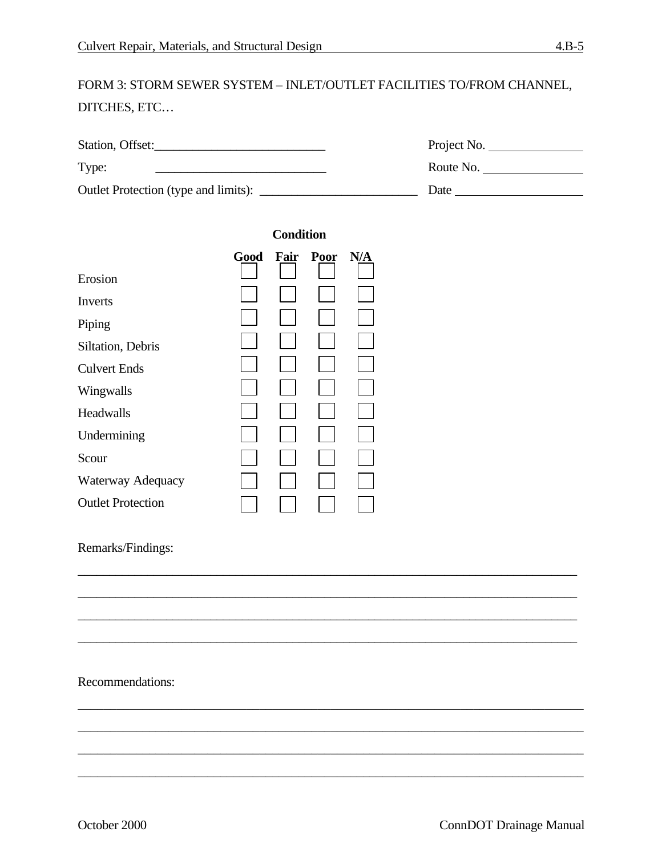# FORM 3: STORM SEWER SYSTEM – INLET/OUTLET FACILITIES TO/FROM CHANNEL, DITCHES, ETC…

| Station, Offset:                     | Project No. |
|--------------------------------------|-------------|
| Type:                                | Route No.   |
| Outlet Protection (type and limits): | Date        |

\_\_\_\_\_\_\_\_\_\_\_\_\_\_\_\_\_\_\_\_\_\_\_\_\_\_\_\_\_\_\_\_\_\_\_\_\_\_\_\_\_\_\_\_\_\_\_\_\_\_\_\_\_\_\_\_\_\_\_\_\_\_\_\_\_\_\_\_\_\_\_\_\_\_\_\_\_\_\_

\_\_\_\_\_\_\_\_\_\_\_\_\_\_\_\_\_\_\_\_\_\_\_\_\_\_\_\_\_\_\_\_\_\_\_\_\_\_\_\_\_\_\_\_\_\_\_\_\_\_\_\_\_\_\_\_\_\_\_\_\_\_\_\_\_\_\_\_\_\_\_\_\_\_\_\_\_\_\_

\_\_\_\_\_\_\_\_\_\_\_\_\_\_\_\_\_\_\_\_\_\_\_\_\_\_\_\_\_\_\_\_\_\_\_\_\_\_\_\_\_\_\_\_\_\_\_\_\_\_\_\_\_\_\_\_\_\_\_\_\_\_\_\_\_\_\_\_\_\_\_\_\_\_\_\_\_\_\_

\_\_\_\_\_\_\_\_\_\_\_\_\_\_\_\_\_\_\_\_\_\_\_\_\_\_\_\_\_\_\_\_\_\_\_\_\_\_\_\_\_\_\_\_\_\_\_\_\_\_\_\_\_\_\_\_\_\_\_\_\_\_\_\_\_\_\_\_\_\_\_\_\_\_\_\_\_\_\_

\_\_\_\_\_\_\_\_\_\_\_\_\_\_\_\_\_\_\_\_\_\_\_\_\_\_\_\_\_\_\_\_\_\_\_\_\_\_\_\_\_\_\_\_\_\_\_\_\_\_\_\_\_\_\_\_\_\_\_\_\_\_\_\_\_\_\_\_\_\_\_\_\_\_\_\_\_\_

\_\_\_\_\_\_\_\_\_\_\_\_\_\_\_\_\_\_\_\_\_\_\_\_\_\_\_\_\_\_\_\_\_\_\_\_\_\_\_\_\_\_\_\_\_\_\_\_\_\_\_\_\_\_\_\_\_\_\_\_\_\_\_\_\_\_\_\_\_\_\_\_\_\_\_\_\_\_

\_\_\_\_\_\_\_\_\_\_\_\_\_\_\_\_\_\_\_\_\_\_\_\_\_\_\_\_\_\_\_\_\_\_\_\_\_\_\_\_\_\_\_\_\_\_\_\_\_\_\_\_\_\_\_\_\_\_\_\_\_\_\_\_\_\_\_\_\_\_\_\_\_\_\_\_\_\_

\_\_\_\_\_\_\_\_\_\_\_\_\_\_\_\_\_\_\_\_\_\_\_\_\_\_\_\_\_\_\_\_\_\_\_\_\_\_\_\_\_\_\_\_\_\_\_\_\_\_\_\_\_\_\_\_\_\_\_\_\_\_\_\_\_\_\_\_\_\_\_\_\_\_\_\_\_\_

|                          | <b>Condition</b> |  |           |     |
|--------------------------|------------------|--|-----------|-----|
|                          | Good             |  | Fair Poor | N/A |
| Erosion                  |                  |  |           |     |
| Inverts                  |                  |  |           |     |
| Piping                   |                  |  |           |     |
| Siltation, Debris        |                  |  |           |     |
| <b>Culvert Ends</b>      |                  |  |           |     |
| Wingwalls                |                  |  |           |     |
| Headwalls                |                  |  |           |     |
| Undermining              |                  |  |           |     |
| Scour                    |                  |  |           |     |
| Waterway Adequacy        |                  |  |           |     |
| <b>Outlet Protection</b> |                  |  |           |     |

### Remarks/Findings:

### Recommendations: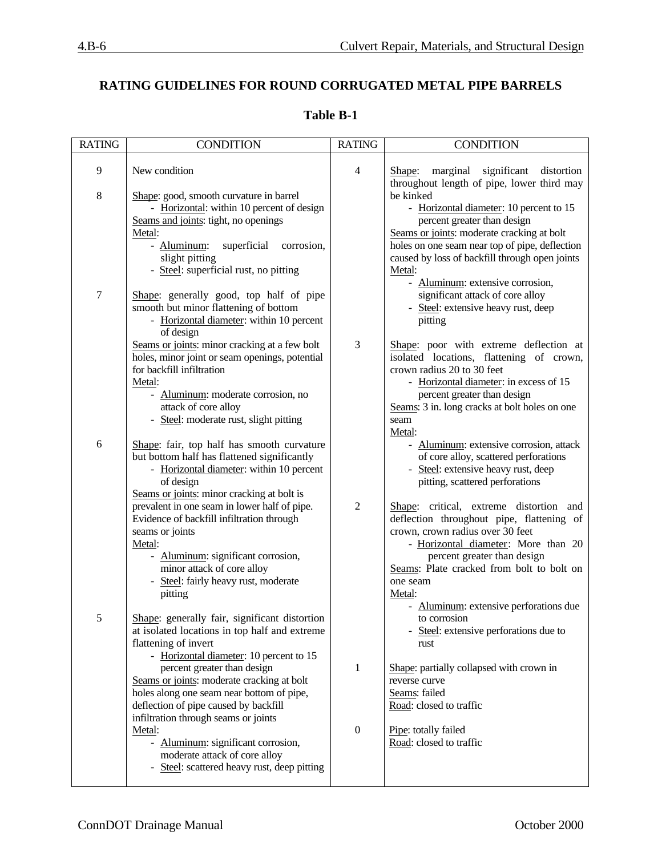## **RATING GUIDELINES FOR ROUND CORRUGATED METAL PIPE BARRELS**

| <b>RATING</b>  | <b>CONDITION</b>                                                                                                                                                                                                                               | <b>RATING</b>    | <b>CONDITION</b>                                                                                                                                                                                                                                                                                          |
|----------------|------------------------------------------------------------------------------------------------------------------------------------------------------------------------------------------------------------------------------------------------|------------------|-----------------------------------------------------------------------------------------------------------------------------------------------------------------------------------------------------------------------------------------------------------------------------------------------------------|
| $\overline{9}$ | New condition                                                                                                                                                                                                                                  | $\overline{4}$   | distortion<br>Shape:<br>marginal<br>significant                                                                                                                                                                                                                                                           |
| $\,$ 8 $\,$    | Shape: good, smooth curvature in barrel<br>- Horizontal: within 10 percent of design<br>Seams and joints: tight, no openings<br>Metal:<br>- Aluminum:<br>superficial<br>corrosion,<br>slight pitting<br>- Steel: superficial rust, no pitting  |                  | throughout length of pipe, lower third may<br>be kinked<br>- Horizontal diameter: 10 percent to 15<br>percent greater than design<br>Seams or joints: moderate cracking at bolt<br>holes on one seam near top of pipe, deflection<br>caused by loss of backfill through open joints<br>Metal:             |
| $\tau$         | Shape: generally good, top half of pipe<br>smooth but minor flattening of bottom<br>- Horizontal diameter: within 10 percent<br>of design                                                                                                      |                  | - Aluminum: extensive corrosion,<br>significant attack of core alloy<br>- Steel: extensive heavy rust, deep<br>pitting                                                                                                                                                                                    |
|                | Seams or joints: minor cracking at a few bolt<br>holes, minor joint or seam openings, potential<br>for backfill infiltration<br>Metal:<br>- Aluminum: moderate corrosion, no<br>attack of core alloy<br>- Steel: moderate rust, slight pitting | 3                | Shape: poor with extreme deflection at<br>isolated locations, flattening of crown,<br>crown radius 20 to 30 feet<br>- Horizontal diameter: in excess of 15<br>percent greater than design<br>Seams: 3 in. long cracks at bolt holes on one<br>seam<br>Metal:                                              |
| 6              | Shape: fair, top half has smooth curvature<br>but bottom half has flattened significantly<br>- Horizontal diameter: within 10 percent<br>of design<br>Seams or joints: minor cracking at bolt is                                               |                  | - Aluminum: extensive corrosion, attack<br>of core alloy, scattered perforations<br>Steel: extensive heavy rust, deep<br>pitting, scattered perforations                                                                                                                                                  |
|                | prevalent in one seam in lower half of pipe.<br>Evidence of backfill infiltration through<br>seams or joints<br>Metal:<br>- Aluminum: significant corrosion,<br>minor attack of core alloy<br>- Steel: fairly heavy rust, moderate<br>pitting  | $\overline{2}$   | Shape: critical, extreme distortion and<br>deflection throughout pipe, flattening of<br>crown, crown radius over 30 feet<br>- Horizontal diameter: More than 20<br>percent greater than design<br>Seams: Plate cracked from bolt to bolt on<br>one seam<br>Metal:<br>Aluminum: extensive perforations due |
| 5              | Shape: generally fair, significant distortion<br>at isolated locations in top half and extreme<br>flattening of invert<br>- Horizontal diameter: 10 percent to 15                                                                              |                  | to corrosion<br>Steel: extensive perforations due to<br>rust                                                                                                                                                                                                                                              |
|                | percent greater than design<br>Seams or joints: moderate cracking at bolt<br>holes along one seam near bottom of pipe,<br>deflection of pipe caused by backfill<br>infiltration through seams or joints                                        | 1                | Shape: partially collapsed with crown in<br>reverse curve<br>Seams: failed<br>Road: closed to traffic                                                                                                                                                                                                     |
|                | Metal:<br>- Aluminum: significant corrosion,<br>moderate attack of core alloy<br>- Steel: scattered heavy rust, deep pitting                                                                                                                   | $\boldsymbol{0}$ | Pipe: totally failed<br>Road: closed to traffic                                                                                                                                                                                                                                                           |

### **Table B-1**